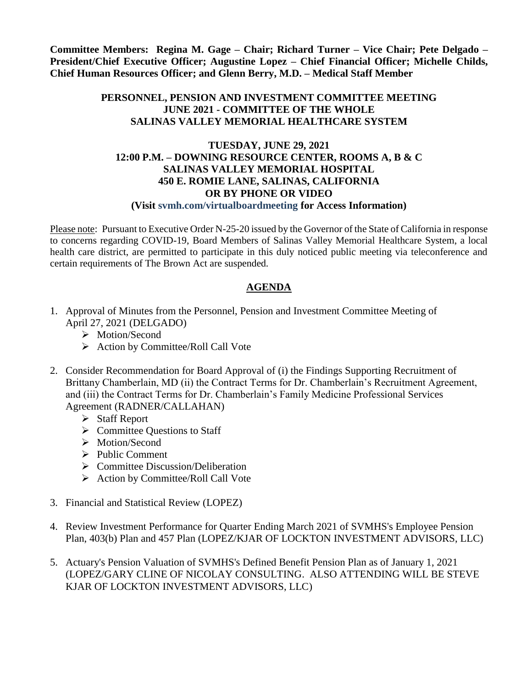**Committee Members: Regina M. Gage – Chair; Richard Turner – Vice Chair; Pete Delgado – President/Chief Executive Officer; Augustine Lopez – Chief Financial Officer; Michelle Childs, Chief Human Resources Officer; and Glenn Berry, M.D. – Medical Staff Member**

## **PERSONNEL, PENSION AND INVESTMENT COMMITTEE MEETING JUNE 2021 - COMMITTEE OF THE WHOLE SALINAS VALLEY MEMORIAL HEALTHCARE SYSTEM**

## **TUESDAY, JUNE 29, 2021 12:00 P.M. – DOWNING RESOURCE CENTER, ROOMS A, B & C SALINAS VALLEY MEMORIAL HOSPITAL 450 E. ROMIE LANE, SALINAS, CALIFORNIA OR BY PHONE OR VIDEO (Visit svmh.com/virtualboardmeeting for Access Information)**

Please note: Pursuant to Executive Order N-25-20 issued by the Governor of the State of California in response to concerns regarding COVID-19, Board Members of Salinas Valley Memorial Healthcare System, a local health care district, are permitted to participate in this duly noticed public meeting via teleconference and certain requirements of The Brown Act are suspended.

## **AGENDA**

- 1. Approval of Minutes from the Personnel, Pension and Investment Committee Meeting of April 27, 2021 (DELGADO)
	- > Motion/Second
	- $\triangleright$  Action by Committee/Roll Call Vote
- 2. Consider Recommendation for Board Approval of (i) the Findings Supporting Recruitment of Brittany Chamberlain, MD (ii) the Contract Terms for Dr. Chamberlain's Recruitment Agreement, and (iii) the Contract Terms for Dr. Chamberlain's Family Medicine Professional Services Agreement (RADNER/CALLAHAN)
	- $\triangleright$  Staff Report
	- $\triangleright$  Committee Questions to Staff
	- > Motion/Second
	- $\triangleright$  Public Comment
	- $\triangleright$  Committee Discussion/Deliberation
	- $\triangleright$  Action by Committee/Roll Call Vote
- 3. Financial and Statistical Review (LOPEZ)
- 4. Review Investment Performance for Quarter Ending March 2021 of SVMHS's Employee Pension Plan, 403(b) Plan and 457 Plan (LOPEZ/KJAR OF LOCKTON INVESTMENT ADVISORS, LLC)
- 5. Actuary's Pension Valuation of SVMHS's Defined Benefit Pension Plan as of January 1, 2021 (LOPEZ/GARY CLINE OF NICOLAY CONSULTING. ALSO ATTENDING WILL BE STEVE KJAR OF LOCKTON INVESTMENT ADVISORS, LLC)